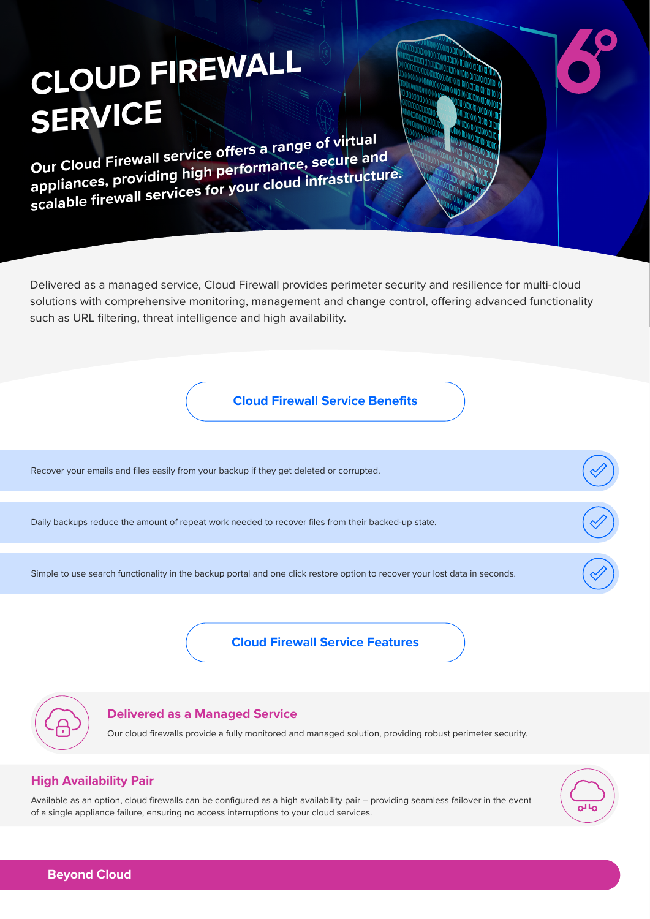# **CLOUD FIREWALL SERVICE**

**Our Cloud Firewall service offers a range of virtual appliances, providing high performance, secure and scalable firewall services for your cloud infrastructure.**

Delivered as a managed service, Cloud Firewall provides perimeter security and resilience for multi-cloud solutions with comprehensive monitoring, management and change control, offering advanced functionality such as URL filtering, threat intelligence and high availability.

**Cloud Firewall Service Benefits**

Recover your emails and files easily from your backup if they get deleted or corrupted.

Daily backups reduce the amount of repeat work needed to recover files from their backed-up state.

Simple to use search functionality in the backup portal and one click restore option to recover your lost data in seconds.

**Cloud Firewall Service Features**



#### **Delivered as a Managed Service**

Our cloud firewalls provide a fully monitored and managed solution, providing robust perimeter security.

#### **High Availability Pair**

Available as an option, cloud firewalls can be configured as a high availability pair – providing seamless failover in the event of a single appliance failure, ensuring no access interruptions to your cloud services.



**Beyond Cloud**